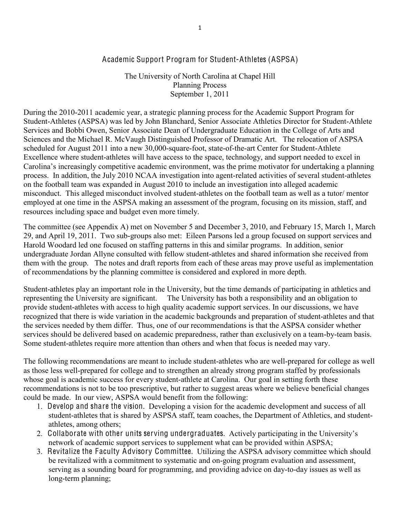## Academic Support Program for Student-Athletes (ASPSA)

The University of North Carolina at Chapel Hill Planning Process September 1, 2011

During the 2010-2011 academic year, a strategic planning process for the Academic Support Program for Student-Athletes (ASPSA) was led by John Blanchard, Senior Associate Athletics Director for Student-Athlete Services and Bobbi Owen, Senior Associate Dean of Undergraduate Education in the College of Arts and Sciences and the Michael R. McVaugh Distinguished Professor of Dramatic Art. The relocation of ASPSA scheduled for August 2011 into a new 30,000-square-foot, state-of-the-art Center for Student-Athlete Excellence where student-athletes will have access to the space, technology, and support needed to excel in Carolina's increasingly competitive academic environment, was the prime motivator for undertaking a planning process. In addition, the July 2010 NCAA investigation into agent-related activities of several student-athletes on the football team was expanded in August 2010 to include an investigation into alleged academic misconduct. This alleged misconduct involved student-athletes on the football team as well as a tutor/ mentor employed at one time in the ASPSA making an assessment of the program, focusing on its mission, staff, and resources including space and budget even more timely.

The committee (see Appendix A) met on November 5 and December 3, 2010, and February 15, March 1, March 29, and April 19, 2011. Two sub-groups also met: Eileen Parsons led a group focused on support services and Harold Woodard led one focused on staffing patterns in this and similar programs. In addition, senior undergraduate Jordan Allyne consulted with fellow student-athletes and shared information she received from them with the group. The notes and draft reports from each of these areas may prove useful as implementation of recommendations by the planning committee is considered and explored in more depth.

Student-athletes play an important role in the University, but the time demands of participating in athletics and representing the University are significant. The University has both a responsibility and an obligation to provide student-athletes with access to high quality academic support services. In our discussions, we have recognized that there is wide variation in the academic backgrounds and preparation of student-athletes and that the services needed by them differ. Thus, one of our recommendations is that the ASPSA consider whether services should be delivered based on academic preparedness, rather than exclusively on a team-by-team basis. Some student-athletes require more attention than others and when that focus is needed may vary.

The following recommendations are meant to include student-athletes who are well-prepared for college as well as those less well-prepared for college and to strengthen an already strong program staffed by professionals whose goal is academic success for every student-athlete at Carolina. Our goal in setting forth these recommendations is not to be too prescriptive, but rather to suggest areas where we believe beneficial changes could be made. In our view, ASPSA would benefit from the following:

- 1. Develop and share the vision. Developing a vision for the academic development and success of all student-athletes that is shared by ASPSA staff, team coaches, the Department of Athletics, and studentathletes, among others;
- 2. Collaborate with other units serving undergraduates. Actively participating in the University's network of academic support services to supplement what can be provided within ASPSA;
- 3. Revitalize the Faculty Advisory Committee. Utilizing the ASPSA advisory committee which should be revitalized with a commitment to systematic and on-going program evaluation and assessment, serving as a sounding board for programming, and providing advice on day-to-day issues as well as long-term planning;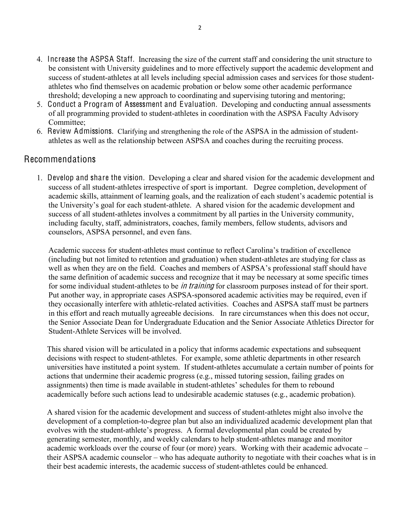- 4. Increase the ASPSA Staff. Increasing the size of the current staff and considering the unit structure to be consistent with University guidelines and to more effectively support the academic development and success of student-athletes at all levels including special admission cases and services for those studentathletes who find themselves on academic probation or below some other academic performance threshold; developing a new approach to coordinating and supervising tutoring and mentoring;
- 5. Conduct a Program of Assessment and Evaluation. Developing and conducting annual assessments of all programming provided to student-athletes in coordination with the ASPSA Faculty Advisory Committee;
- 6. Review Admissions. Clarifying and strengthening the role of the ASPSA in the admission of studentathletes as well as the relationship between ASPSA and coaches during the recruiting process.

# Recommendations

1. Develop and share the vision. Developing a clear and shared vision for the academic development and success of all student-athletes irrespective of sport is important. Degree completion, development of academic skills, attainment of learning goals, and the realization of each student's academic potential is the University's goal for each student-athlete. A shared vision for the academic development and success of all student-athletes involves a commitment by all parties in the University community, including faculty, staff, administrators, coaches, family members, fellow students, advisors and counselors, ASPSA personnel, and even fans.

Academic success for student-athletes must continue to reflect Carolina's tradition of excellence (including but not limited to retention and graduation) when student-athletes are studying for class as well as when they are on the field. Coaches and members of ASPSA's professional staff should have the same definition of academic success and recognize that it may be necessary at some specific times for some individual student-athletes to be *in training* for classroom purposes instead of for their sport. Put another way, in appropriate cases ASPSA-sponsored academic activities may be required, even if they occasionally interfere with athletic-related activities. Coaches and ASPSA staff must be partners in this effort and reach mutually agreeable decisions. In rare circumstances when this does not occur, the Senior Associate Dean for Undergraduate Education and the Senior Associate Athletics Director for Student-Athlete Services will be involved.

This shared vision will be articulated in a policy that informs academic expectations and subsequent decisions with respect to student-athletes. For example, some athletic departments in other research universities have instituted a point system. If student-athletes accumulate a certain number of points for actions that undermine their academic progress (e.g., missed tutoring session, failing grades on assignments) then time is made available in student-athletes' schedules for them to rebound academically before such actions lead to undesirable academic statuses (e.g., academic probation).

A shared vision for the academic development and success of student-athletes might also involve the development of a completion-to-degree plan but also an individualized academic development plan that evolves with the student-athlete's progress. A formal developmental plan could be created by generating semester, monthly, and weekly calendars to help student-athletes manage and monitor academic workloads over the course of four (or more) years. Working with their academic advocate – their ASPSA academic counselor – who has adequate authority to negotiate with their coaches what is in their best academic interests, the academic success of student-athletes could be enhanced.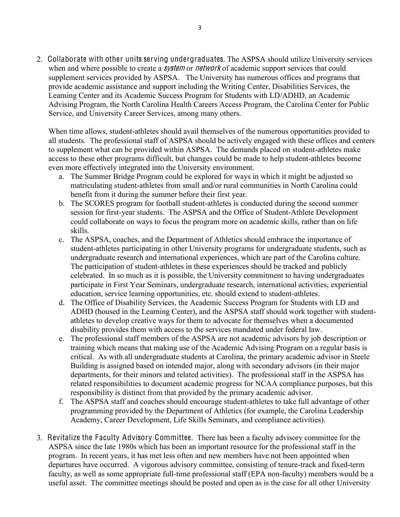2. Collaborate with other units serving undergraduates. The ASPSA should utilize University services when and where possible to create a *system* or *network* of academic support services that could supplement services provided by ASPSA. The University has numerous offices and programs that provide academic assistance and support including the Writing Center, Disabilities Services, the Learning Center and its Academic Success Program for Students with LD/ADHD, an Academic Advising Program, the North Carolina Health Careers Access Program, the Carolina Center for Public Service, and University Career Services, among many others.

When time allows, student-athletes should avail themselves of the numerous opportunities provided to all students. The professional staff of ASPSA should be actively engaged with these offices and centers to supplement what can be provided within ASPSA. The demands placed on student-athletes make access to these other programs difficult, but changes could be made to help student-athletes become even more effectively integrated into the University environment.

- a. The Summer Bridge Program could be explored for ways in which it might be adjusted so matriculating student-athletes from small and/or rural communities in North Carolina could benefit from it during the summer before their first year.
- b. The SCORES program for football student-athletes is conducted during the second summer session for first-year students. The ASPSA and the Office of Student-Athlete Development could collaborate on ways to focus the program more on academic skills, rather than on life skills.
- c. The ASPSA, coaches, and the Department of Athletics should embrace the importance of student-athletes participating in other University programs for undergraduate students, such as undergraduate research and international experiences, which are part of the Carolina culture. The participation of student-athletes in these experiences should be tracked and publicly celebrated. In so much as it is possible, the University commitment to having undergraduates participate in First Year Seminars, undergraduate research, international activities, experiential education, service learning opportunities, etc. should extend to student-athletes.
- d. The Office of Disability Services, the Academic Success Program for Students with LD and ADHD (housed in the Learning Center), and the ASPSA staff should work together with studentathletes to develop creative ways for them to advocate for themselves when a documented disability provides them with access to the services mandated under federal law.
- e. The professional staff members of the ASPSA are not academic advisors by job description or training which means that making use of the Academic Advising Program on a regular basis is critical. As with all undergraduate students at Carolina, the primary academic advisor in Steele Building is assigned based on intended major, along with secondary advisors (in their major departments, for their minors and related activities). The professional staff in the ASPSA has related responsibilities to document academic progress for NCAA compliance purposes, but this responsibility is distinct from that provided by the primary academic advisor.
- f. The ASPSA staff and coaches should encourage student-athletes to take full advantage of other programming provided by the Department of Athletics (for example, the Carolina Leadership Academy, Career Development, Life Skills Seminars, and compliance activities).
- 3. Revitalize the Faculty Advisory Committee. There has been a faculty advisory committee for the ASPSA since the late 1980s which has been an important resource for the professional staff in the program. In recent years, it has met less often and new members have not been appointed when departures have occurred. A vigorous advisory committee, consisting of tenure-track and fixed-term faculty, as well as some appropriate full-time professional staff (EPA non-faculty) members would be a useful asset. The committee meetings should be posted and open as is the case for all other University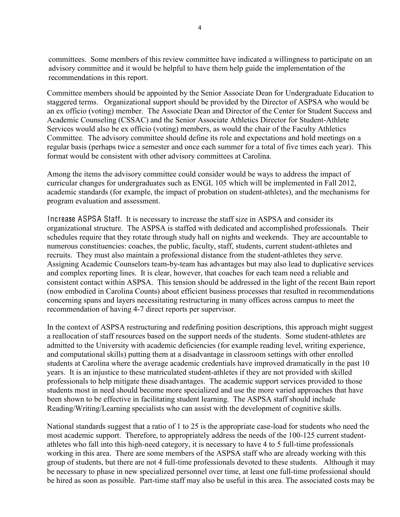committees. Some members of this review committee have indicated a willingness to participate on an advisory committee and it would be helpful to have them help guide the implementation of the recommendations in this report.

Committee members should be appointed by the Senior Associate Dean for Undergraduate Education to staggered terms. Organizational support should be provided by the Director of ASPSA who would be an ex officio (voting) member. The Associate Dean and Director of the Center for Student Success and Academic Counseling (CSSAC) and the Senior Associate Athletics Director for Student-Athlete Services would also be ex officio (voting) members, as would the chair of the Faculty Athletics Committee. The advisory committee should define its role and expectations and hold meetings on a regular basis (perhaps twice a semester and once each summer for a total of five times each year). This format would be consistent with other advisory committees at Carolina.

Among the items the advisory committee could consider would be ways to address the impact of curricular changes for undergraduates such as ENGL 105 which will be implemented in Fall 2012, academic standards (for example, the impact of probation on student-athletes), and the mechanisms for program evaluation and assessment.

Increase ASPSA Staff. It is necessary to increase the staff size in ASPSA and consider its organizational structure. The ASPSA is staffed with dedicated and accomplished professionals. Their schedules require that they rotate through study hall on nights and weekends. They are accountable to numerous constituencies: coaches, the public, faculty, staff, students, current student-athletes and recruits. They must also maintain a professional distance from the student-athletes they serve. Assigning Academic Counselors team-by-team has advantages but may also lead to duplicative services and complex reporting lines. It is clear, however, that coaches for each team need a reliable and consistent contact within ASPSA. This tension should be addressed in the light of the recent Bain report (now embodied in Carolina Counts) about efficient business processes that resulted in recommendations concerning spans and layers necessitating restructuring in many offices across campus to meet the recommendation of having 4-7 direct reports per supervisor.

In the context of ASPSA restructuring and redefining position descriptions, this approach might suggest a reallocation of staff resources based on the support needs of the students. Some student-athletes are admitted to the University with academic deficiencies (for example reading level, writing experience, and computational skills) putting them at a disadvantage in classroom settings with other enrolled students at Carolina where the average academic credentials have improved dramatically in the past 10 years. It is an injustice to these matriculated student-athletes if they are not provided with skilled professionals to help mitigate these disadvantages. The academic support services provided to those students most in need should become more specialized and use the more varied approaches that have been shown to be effective in facilitating student learning. The ASPSA staff should include Reading/Writing/Learning specialists who can assist with the development of cognitive skills.

National standards suggest that a ratio of 1 to 25 is the appropriate case-load for students who need the most academic support. Therefore, to appropriately address the needs of the 100-125 current studentathletes who fall into this high-need category, it is necessary to have 4 to 5 full-time professionals working in this area. There are some members of the ASPSA staff who are already working with this group of students, but there are not 4 full-time professionals devoted to these students. Although it may be necessary to phase in new specialized personnel over time, at least one full-time professional should be hired as soon as possible. Part-time staff may also be useful in this area. The associated costs may be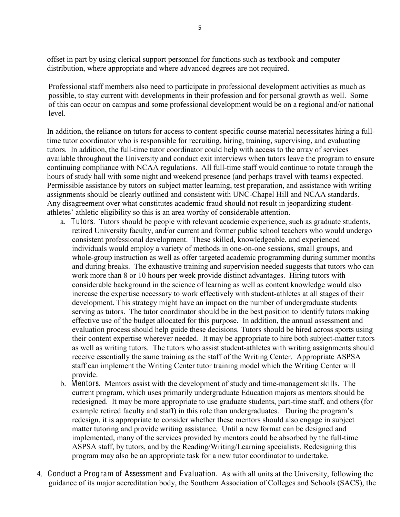offset in part by using clerical support personnel for functions such as textbook and computer distribution, where appropriate and where advanced degrees are not required.

Professional staff members also need to participate in professional development activities as much as possible, to stay current with developments in their profession and for personal growth as well. Some of this can occur on campus and some professional development would be on a regional and/or national level.

In addition, the reliance on tutors for access to content-specific course material necessitates hiring a fulltime tutor coordinator who is responsible for recruiting, hiring, training, supervising, and evaluating tutors. In addition, the full-time tutor coordinator could help with access to the array of services available throughout the University and conduct exit interviews when tutors leave the program to ensure continuing compliance with NCAA regulations. All full-time staff would continue to rotate through the hours of study hall with some night and weekend presence (and perhaps travel with teams) expected. Permissible assistance by tutors on subject matter learning, test preparation, and assistance with writing assignments should be clearly outlined and consistent with UNC-Chapel Hill and NCAA standards. Any disagreement over what constitutes academic fraud should not result in jeopardizing studentathletes' athletic eligibility so this is an area worthy of considerable attention.

- a. Tutors. Tutors should be people with relevant academic experience, such as graduate students, retired University faculty, and/or current and former public school teachers who would undergo consistent professional development. These skilled, knowledgeable, and experienced individuals would employ a variety of methods in one-on-one sessions, small groups, and whole-group instruction as well as offer targeted academic programming during summer months and during breaks. The exhaustive training and supervision needed suggests that tutors who can work more than 8 or 10 hours per week provide distinct advantages. Hiring tutors with considerable background in the science of learning as well as content knowledge would also increase the expertise necessary to work effectively with student-athletes at all stages of their development. This strategy might have an impact on the number of undergraduate students serving as tutors. The tutor coordinator should be in the best position to identify tutors making effective use of the budget allocated for this purpose. In addition, the annual assessment and evaluation process should help guide these decisions. Tutors should be hired across sports using their content expertise wherever needed. It may be appropriate to hire both subject-matter tutors as well as writing tutors. The tutors who assist student-athletes with writing assignments should receive essentially the same training as the staff of the Writing Center. Appropriate ASPSA staff can implement the Writing Center tutor training model which the Writing Center will provide.
- b. Mentors. Mentors assist with the development of study and time-management skills. The current program, which uses primarily undergraduate Education majors as mentors should be redesigned. It may be more appropriate to use graduate students, part-time staff, and others (for example retired faculty and staff) in this role than undergraduates. During the program's redesign, it is appropriate to consider whether these mentors should also engage in subject matter tutoring and provide writing assistance. Until a new format can be designed and implemented, many of the services provided by mentors could be absorbed by the full-time ASPSA staff, by tutors, and by the Reading/Writing/Learning specialists. Redesigning this program may also be an appropriate task for a new tutor coordinator to undertake.
- 4. Conduct a Program of Assessment and Evaluation. As with all units at the University, following the guidance of its major accreditation body, the Southern Association of Colleges and Schools (SACS), the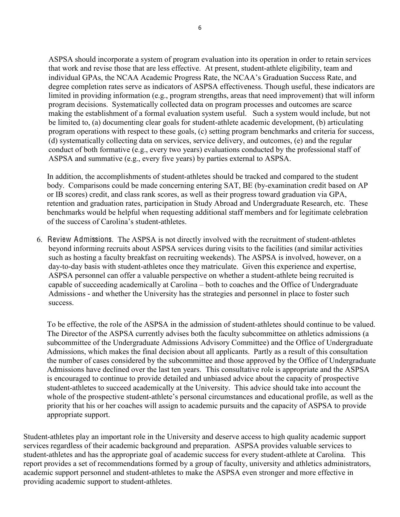ASPSA should incorporate a system of program evaluation into its operation in order to retain services that work and revise those that are less effective. At present, student-athlete eligibility, team and individual GPAs, the NCAA Academic Progress Rate, the NCAA's Graduation Success Rate, and degree completion rates serve as indicators of ASPSA effectiveness. Though useful, these indicators are limited in providing information (e.g., program strengths, areas that need improvement) that will inform program decisions. Systematically collected data on program processes and outcomes are scarce making the establishment of a formal evaluation system useful. Such a system would include, but not be limited to, (a) documenting clear goals for student-athlete academic development, (b) articulating program operations with respect to these goals, (c) setting program benchmarks and criteria for success, (d) systematically collecting data on services, service delivery, and outcomes, (e) and the regular conduct of both formative (e.g., every two years) evaluations conducted by the professional staff of ASPSA and summative (e.g., every five years) by parties external to ASPSA.

In addition, the accomplishments of student-athletes should be tracked and compared to the student body. Comparisons could be made concerning entering SAT, BE (by-examination credit based on AP or IB scores) credit, and class rank scores, as well as their progress toward graduation via GPA, retention and graduation rates, participation in Study Abroad and Undergraduate Research, etc. These benchmarks would be helpful when requesting additional staff members and for legitimate celebration of the success of Carolina's student-athletes.

6. Review Admissions. The ASPSA is not directly involved with the recruitment of student-athletes beyond informing recruits about ASPSA services during visits to the facilities (and similar activities such as hosting a faculty breakfast on recruiting weekends). The ASPSA is involved, however, on a day-to-day basis with student-athletes once they matriculate. Given this experience and expertise, ASPSA personnel can offer a valuable perspective on whether a student-athlete being recruited is capable of succeeding academically at Carolina – both to coaches and the Office of Undergraduate Admissions - and whether the University has the strategies and personnel in place to foster such success.

To be effective, the role of the ASPSA in the admission of student-athletes should continue to be valued. The Director of the ASPSA currently advises both the faculty subcommittee on athletics admissions (a subcommittee of the Undergraduate Admissions Advisory Committee) and the Office of Undergraduate Admissions, which makes the final decision about all applicants. Partly as a result of this consultation the number of cases considered by the subcommittee and those approved by the Office of Undergraduate Admissions have declined over the last ten years. This consultative role is appropriate and the ASPSA is encouraged to continue to provide detailed and unbiased advice about the capacity of prospective student-athletes to succeed academically at the University. This advice should take into account the whole of the prospective student-athlete's personal circumstances and educational profile, as well as the priority that his or her coaches will assign to academic pursuits and the capacity of ASPSA to provide appropriate support.

Student-athletes play an important role in the University and deserve access to high quality academic support services regardless of their academic background and preparation. ASPSA provides valuable services to student-athletes and has the appropriate goal of academic success for every student-athlete at Carolina. This report provides a set of recommendations formed by a group of faculty, university and athletics administrators, academic support personnel and student-athletes to make the ASPSA even stronger and more effective in providing academic support to student-athletes.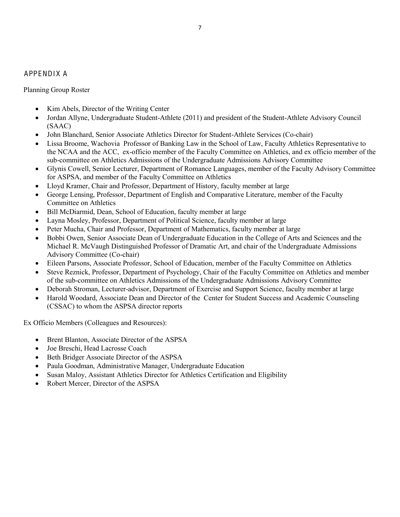### APPENDIX A

Planning Group Roster

- Kim Abels, Director of the Writing Center
- Jordan Allyne, Undergraduate Student-Athlete (2011) and president of the Student-Athlete Advisory Council (SAAC)
- John Blanchard, Senior Associate Athletics Director for Student-Athlete Services (Co-chair)
- Lissa Broome, Wachovia Professor of Banking Law in the School of Law, Faculty Athletics Representative to the NCAA and the ACC, ex-officio member of the Faculty Committee on Athletics, and ex officio member of the sub-committee on Athletics Admissions of the Undergraduate Admissions Advisory Committee
- x Glynis Cowell, Senior Lecturer, Department of Romance Languages, member of the Faculty Advisory Committee for ASPSA, and member of the Faculty Committee on Athletics
- Lloyd Kramer, Chair and Professor, Department of History, faculty member at large
- George Lensing, Professor, Department of English and Comparative Literature, member of the Faculty Committee on Athletics
- Bill McDiarmid, Dean, School of Education, faculty member at large
- Layna Mosley, Professor, Department of Political Science, faculty member at large
- Peter Mucha, Chair and Professor, Department of Mathematics, faculty member at large
- x Bobbi Owen, Senior Associate Dean of Undergraduate Education in the College of Arts and Sciences and the Michael R. McVaugh Distinguished Professor of Dramatic Art, and chair of the Undergraduate Admissions Advisory Committee (Co-chair)
- Eileen Parsons, Associate Professor, School of Education, member of the Faculty Committee on Athletics
- Steve Reznick, Professor, Department of Psychology, Chair of the Faculty Committee on Athletics and member of the sub-committee on Athletics Admissions of the Undergraduate Admissions Advisory Committee
- Deborah Stroman, Lecturer-advisor, Department of Exercise and Support Science, faculty member at large
- x Harold Woodard, Associate Dean and Director of the Center for Student Success and Academic Counseling (CSSAC) to whom the ASPSA director reports

Ex Officio Members (Colleagues and Resources):

- Brent Blanton, Associate Director of the ASPSA
- Joe Breschi, Head Lacrosse Coach
- Beth Bridger Associate Director of the ASPSA
- Paula Goodman, Administrative Manager, Undergraduate Education
- x Susan Maloy, Assistant Athletics Director for Athletics Certification and Eligibility
- Robert Mercer, Director of the ASPSA